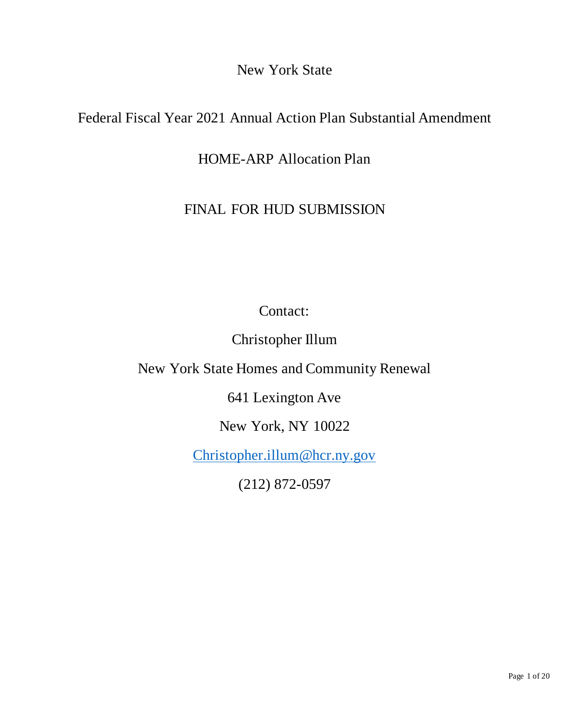New York State

# Federal Fiscal Year 2021 Annual Action Plan Substantial Amendment

HOME-ARP Allocation Plan

# FINAL FOR HUD SUBMISSION

Contact:

Christopher Illum

New York State Homes and Community Renewal

641 Lexington Ave

New York, NY 10022

[Christopher.illum@hcr.ny.gov](mailto:Christopher.illum@hcr.ny.gov)

(212) 872-0597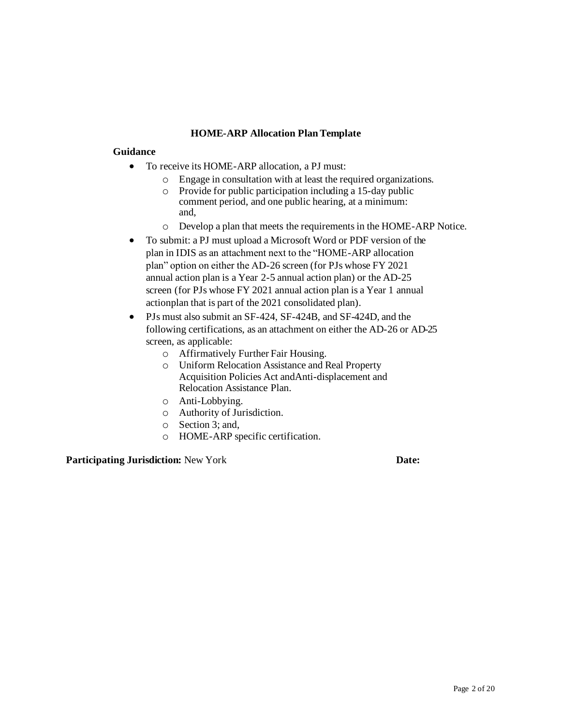#### **HOME-ARP Allocation PlanTemplate**

#### **Guidance**

- To receive its HOME-ARP allocation, a PJ must:
	- o Engage in consultation with at least the required organizations.
	- o Provide for public participation including a 15-day public comment period, and one public hearing, at a minimum: and,
	- o Develop a plan that meets the requirementsin the HOME-ARP Notice.
- To submit: a PJ must upload a Microsoft Word or PDF version of the plan in IDIS as an attachment next to the "HOME-ARP allocation plan" option on either the AD-26 screen (for PJs whose FY 2021 annual action plan is a Year 2-5 annual action plan) or the AD-25 screen (for PJs whose FY 2021 annual action plan is a Year 1 annual actionplan that is part of the 2021 consolidated plan).
- PJs must also submit an SF-424, SF-424B, and SF-424D, and the following certifications, as an attachment on either the AD-26 or AD-25 screen, as applicable:
	- o Affirmatively Further Fair Housing.
	- o Uniform Relocation Assistance and Real Property Acquisition Policies Act andAnti-displacement and Relocation Assistance Plan.
	- o Anti-Lobbying.
	- o Authority of Jurisdiction.
	- o Section 3; and,
	- o HOME-ARP specific certification.

#### **Participating Jurisdiction:** New York **Date: Date:**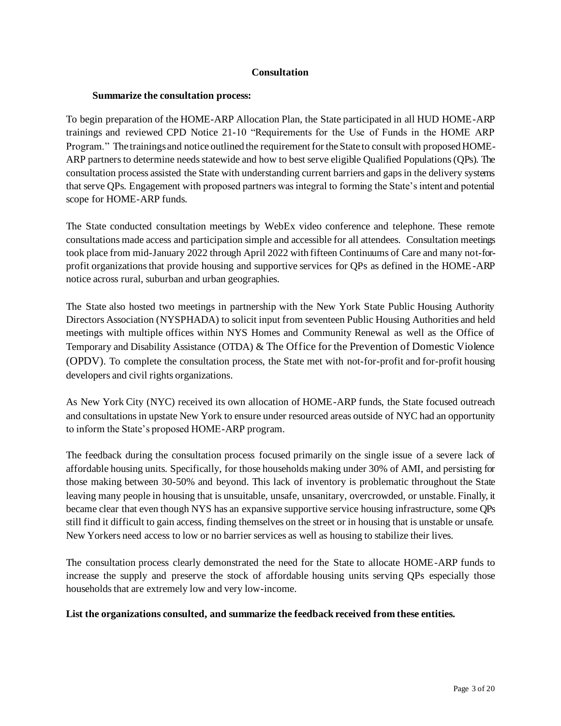#### **Consultation**

#### **Summarize the consultation process:**

To begin preparation of the HOME-ARP Allocation Plan, the State participated in all HUD HOME-ARP trainings and reviewed CPD Notice 21-10 "Requirements for the Use of Funds in the HOME ARP Program." The trainings and notice outlined the requirement for the State to consult with proposed HOME-ARP partners to determine needs statewide and how to best serve eligible Qualified Populations (QPs). The consultation process assisted the State with understanding current barriers and gaps in the delivery systems that serve QPs. Engagement with proposed partners was integral to forming the State's intent and potential scope for HOME-ARP funds.

The State conducted consultation meetings by WebEx video conference and telephone. These remote consultations made access and participation simple and accessible for all attendees. Consultation meetings took place from mid-January 2022 through April 2022 with fifteen Continuums of Care and many not-forprofit organizations that provide housing and supportive services for QPs as defined in the HOME-ARP notice across rural, suburban and urban geographies.

The State also hosted two meetings in partnership with the New York State Public Housing Authority Directors Association (NYSPHADA) to solicit input from seventeen Public Housing Authorities and held meetings with multiple offices within NYS Homes and Community Renewal as well as the Office of Temporary and Disability Assistance (OTDA) & The Office for the Prevention of Domestic Violence (OPDV). To complete the consultation process, the State met with not-for-profit and for-profit housing developers and civil rights organizations.

As New York City (NYC) received its own allocation of HOME-ARP funds, the State focused outreach and consultations in upstate New York to ensure under resourced areas outside of NYC had an opportunity to inform the State's proposed HOME-ARP program.

The feedback during the consultation process focused primarily on the single issue of a severe lack of affordable housing units. Specifically, for those households making under 30% of AMI, and persisting for those making between 30-50% and beyond. This lack of inventory is problematic throughout the State leaving many people in housing that is unsuitable, unsafe, unsanitary, overcrowded, or unstable. Finally, it became clear that even though NYS has an expansive supportive service housing infrastructure, some QPs still find it difficult to gain access, finding themselves on the street or in housing that is unstable or unsafe. New Yorkers need access to low or no barrier services as well as housing to stabilize their lives.

The consultation process clearly demonstrated the need for the State to allocate HOME-ARP funds to increase the supply and preserve the stock of affordable housing units serving QPs especially those households that are extremely low and very low-income.

#### **List the organizations consulted, and summarize the feedback received from these entities.**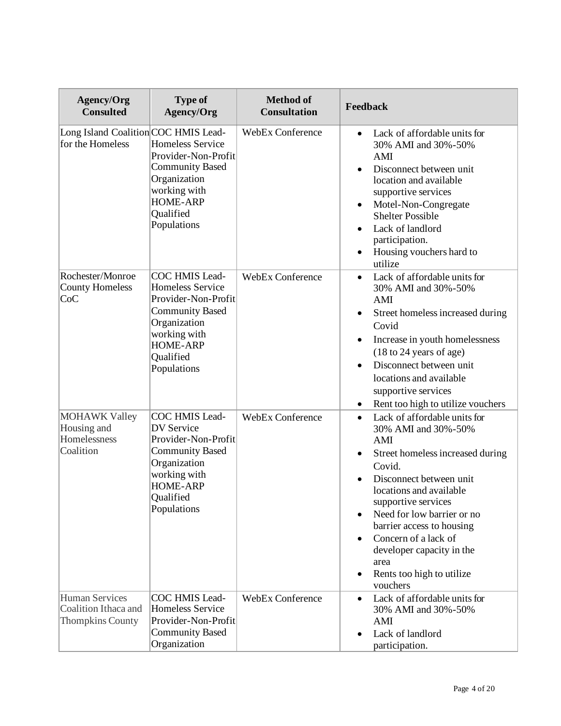| <b>Agency/Org</b><br><b>Consulted</b>                                    | <b>Type of</b><br>Agency/Org                                                                                                                                              | <b>Method of</b><br><b>Consultation</b> | Feedback                                                                                                                                                                                                                                                                                                                                                                         |
|--------------------------------------------------------------------------|---------------------------------------------------------------------------------------------------------------------------------------------------------------------------|-----------------------------------------|----------------------------------------------------------------------------------------------------------------------------------------------------------------------------------------------------------------------------------------------------------------------------------------------------------------------------------------------------------------------------------|
| Long Island Coalition COC HMIS Lead-<br>for the Homeless                 | Homeless Service<br>Provider-Non-Profit<br><b>Community Based</b><br>Organization<br>working with<br><b>HOME-ARP</b><br>Qualified<br>Populations                          | <b>WebEx Conference</b>                 | Lack of affordable units for<br>$\bullet$<br>30% AMI and 30%-50%<br>AMI<br>Disconnect between unit<br>location and available<br>supportive services<br>Motel-Non-Congregate<br><b>Shelter Possible</b><br>Lack of landlord<br>participation.<br>Housing vouchers hard to<br>utilize                                                                                              |
| Rochester/Monroe<br><b>County Homeless</b><br> CoC                       | COC HMIS Lead-<br><b>Homeless Service</b><br>Provider-Non-Profit<br><b>Community Based</b><br>Organization<br>working with<br><b>HOME-ARP</b><br>Qualified<br>Populations | <b>WebEx Conference</b>                 | Lack of affordable units for<br>$\bullet$<br>30% AMI and 30%-50%<br>AMI<br>Street homeless increased during<br>Covid<br>Increase in youth homelessness<br>$(18 \text{ to } 24 \text{ years of age})$<br>Disconnect between unit<br>locations and available<br>supportive services<br>Rent too high to utilize vouchers                                                           |
| <b>MOHAWK Valley</b><br>Housing and<br>Homelessness<br>Coalition         | COC HMIS Lead-<br><b>DV</b> Service<br>Provider-Non-Profit<br><b>Community Based</b><br>Organization<br>working with<br><b>HOME-ARP</b><br>Qualified<br>Populations       | <b>WebEx Conference</b>                 | Lack of affordable units for<br>$\bullet$<br>30% AMI and 30%-50%<br>AMI<br>Street homeless increased during<br>Covid.<br>Disconnect between unit<br>locations and available<br>supportive services<br>Need for low barrier or no<br>barrier access to housing<br>Concern of a lack of<br>developer capacity in the<br>area<br>Rents too high to utilize<br>$\bullet$<br>vouchers |
| <b>Human Services</b><br>Coalition Ithaca and<br><b>Thompkins County</b> | COC HMIS Lead-<br><b>Homeless Service</b><br>Provider-Non-Profit<br><b>Community Based</b><br>Organization                                                                | <b>WebEx Conference</b>                 | Lack of affordable units for<br>$\bullet$<br>30% AMI and 30%-50%<br>AMI<br>Lack of landlord<br>$\bullet$<br>participation.                                                                                                                                                                                                                                                       |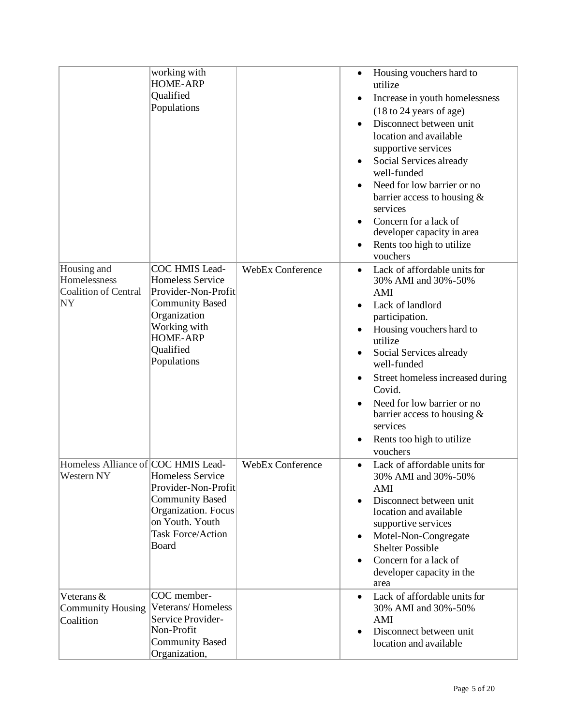|                                                   | working with<br><b>HOME-ARP</b> |                         | $\bullet$ | Housing vouchers hard to<br>utilize        |
|---------------------------------------------------|---------------------------------|-------------------------|-----------|--------------------------------------------|
|                                                   | Qualified                       |                         |           | Increase in youth homelessness             |
|                                                   | Populations                     |                         |           | (18 to 24 years of age)                    |
|                                                   |                                 |                         |           | Disconnect between unit                    |
|                                                   |                                 |                         |           | location and available                     |
|                                                   |                                 |                         |           | supportive services                        |
|                                                   |                                 |                         |           | Social Services already                    |
|                                                   |                                 |                         |           | well-funded                                |
|                                                   |                                 |                         |           | Need for low barrier or no                 |
|                                                   |                                 |                         |           | barrier access to housing $\&$             |
|                                                   |                                 |                         |           | services                                   |
|                                                   |                                 |                         |           | Concern for a lack of                      |
|                                                   |                                 |                         |           | developer capacity in area                 |
|                                                   |                                 |                         |           | Rents too high to utilize                  |
|                                                   |                                 |                         |           | vouchers                                   |
| Housing and                                       | COC HMIS Lead-                  | <b>WebEx Conference</b> |           | Lack of affordable units for               |
| Homelessness                                      | Homeless Service                |                         |           | 30% AMI and 30%-50%                        |
| Coalition of Central                              | Provider-Non-Profit             |                         |           | AMI                                        |
| <b>NY</b>                                         | <b>Community Based</b>          |                         |           | Lack of landlord                           |
|                                                   | Organization                    |                         |           | participation.                             |
|                                                   | Working with<br><b>HOME-ARP</b> |                         |           | Housing vouchers hard to                   |
|                                                   | Qualified                       |                         |           | utilize                                    |
|                                                   | Populations                     |                         |           | Social Services already                    |
|                                                   |                                 |                         |           | well-funded                                |
|                                                   |                                 |                         |           | Street homeless increased during           |
|                                                   |                                 |                         |           | Covid.                                     |
|                                                   |                                 |                         |           | Need for low barrier or no                 |
|                                                   |                                 |                         |           | barrier access to housing $\&$<br>services |
|                                                   |                                 |                         |           |                                            |
|                                                   |                                 |                         |           | Rents too high to utilize                  |
|                                                   |                                 |                         |           | vouchers                                   |
| Homeless Alliance of COC HMIS Lead-<br>Western NY | Homeless Service                | <b>WebEx Conference</b> |           | Lack of affordable units for               |
|                                                   | Provider-Non-Profit             |                         |           | 30% AMI and 30%-50%                        |
|                                                   | <b>Community Based</b>          |                         | $\bullet$ | AMI<br>Disconnect between unit             |
|                                                   | Organization. Focus             |                         |           | location and available                     |
|                                                   | on Youth. Youth                 |                         |           | supportive services                        |
|                                                   | <b>Task Force/Action</b>        |                         |           | Motel-Non-Congregate                       |
|                                                   | Board                           |                         |           | <b>Shelter Possible</b>                    |
|                                                   |                                 |                         |           | Concern for a lack of                      |
|                                                   |                                 |                         |           | developer capacity in the                  |
|                                                   |                                 |                         |           | area                                       |
| Veterans &                                        | COC member-                     |                         | $\bullet$ | Lack of affordable units for               |
| Community Housing                                 | Veterans/Homeless               |                         |           | 30% AMI and 30%-50%                        |
| Coalition                                         | Service Provider-               |                         |           | AMI                                        |
|                                                   | Non-Profit                      |                         |           | Disconnect between unit                    |
|                                                   | <b>Community Based</b>          |                         |           | location and available                     |
|                                                   | Organization,                   |                         |           |                                            |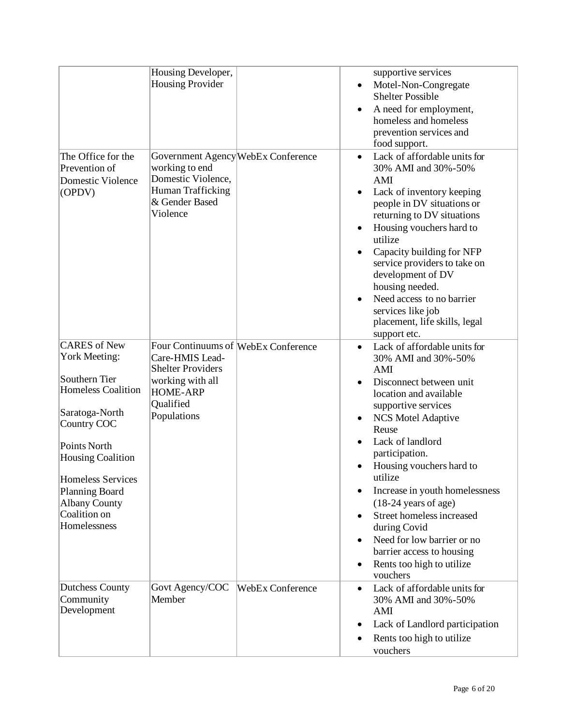|                                                                                                                                                                                                                                                                                     | Housing Developer,                                                                                                                                    |                         | supportive services                                                                                                                                                                                                                                                                                                                                                                                                                                                                                      |
|-------------------------------------------------------------------------------------------------------------------------------------------------------------------------------------------------------------------------------------------------------------------------------------|-------------------------------------------------------------------------------------------------------------------------------------------------------|-------------------------|----------------------------------------------------------------------------------------------------------------------------------------------------------------------------------------------------------------------------------------------------------------------------------------------------------------------------------------------------------------------------------------------------------------------------------------------------------------------------------------------------------|
|                                                                                                                                                                                                                                                                                     | <b>Housing Provider</b>                                                                                                                               |                         | Motel-Non-Congregate<br>$\bullet$<br><b>Shelter Possible</b><br>A need for employment,<br>homeless and homeless<br>prevention services and<br>food support.                                                                                                                                                                                                                                                                                                                                              |
| The Office for the<br>Prevention of<br><b>Domestic Violence</b><br>(OPDV)                                                                                                                                                                                                           | Government Agency WebEx Conference<br>working to end<br>Domestic Violence,<br>Human Trafficking<br>& Gender Based<br>Violence                         |                         | Lack of affordable units for<br>$\bullet$<br>30% AMI and 30%-50%<br>AMI<br>Lack of inventory keeping<br>$\bullet$<br>people in DV situations or<br>returning to DV situations<br>Housing vouchers hard to<br>utilize<br>Capacity building for NFP<br>service providers to take on<br>development of DV<br>housing needed.<br>Need access to no barrier<br>$\bullet$<br>services like job<br>placement, life skills, legal<br>support etc.                                                                |
| <b>CARES</b> of New<br><b>York Meeting:</b><br>Southern Tier<br><b>Homeless Coalition</b><br>Saratoga-North<br>Country COC<br>Points North<br><b>Housing Coalition</b><br><b>Homeless Services</b><br><b>Planning Board</b><br><b>Albany County</b><br>Coalition on<br>Homelessness | Four Continuums of WebEx Conference<br>Care-HMIS Lead-<br><b>Shelter Providers</b><br>working with all<br><b>HOME-ARP</b><br>Qualified<br>Populations |                         | Lack of affordable units for<br>$\bullet$<br>30% AMI and 30%-50%<br>AMI<br>Disconnect between unit<br>location and available<br>supportive services<br><b>NCS Motel Adaptive</b><br>Reuse<br>Lack of landlord<br>participation.<br>Housing vouchers hard to<br>utilize<br>Increase in youth homelessness<br>$\bullet$<br>$(18-24 \text{ years of age})$<br>Street homeless increased<br>during Covid<br>Need for low barrier or no<br>barrier access to housing<br>Rents too high to utilize<br>vouchers |
| <b>Dutchess County</b><br>Community<br>Development                                                                                                                                                                                                                                  | Govt Agency/COC<br>Member                                                                                                                             | <b>WebEx Conference</b> | Lack of affordable units for<br>$\bullet$<br>30% AMI and 30%-50%<br>AMI<br>Lack of Landlord participation<br>Rents too high to utilize<br>vouchers                                                                                                                                                                                                                                                                                                                                                       |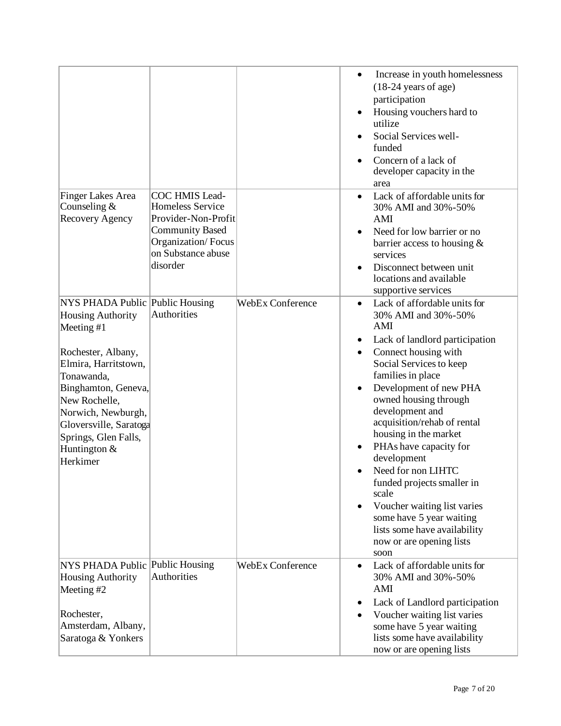|                                                                                                                                                                                                                                                                                   |                                                                                                                                                    |                         | Increase in youth homelessness<br>$\bullet$<br>$(18-24 \text{ years of age})$<br>participation<br>Housing vouchers hard to<br>utilize<br>Social Services well-<br>funded<br>Concern of a lack of<br>developer capacity in the<br>area                                                                                                                                                                                                                                                                                                   |
|-----------------------------------------------------------------------------------------------------------------------------------------------------------------------------------------------------------------------------------------------------------------------------------|----------------------------------------------------------------------------------------------------------------------------------------------------|-------------------------|-----------------------------------------------------------------------------------------------------------------------------------------------------------------------------------------------------------------------------------------------------------------------------------------------------------------------------------------------------------------------------------------------------------------------------------------------------------------------------------------------------------------------------------------|
| Finger Lakes Area<br>Counseling $&$<br>Recovery Agency                                                                                                                                                                                                                            | COC HMIS Lead-<br><b>Homeless Service</b><br>Provider-Non-Profit<br><b>Community Based</b><br>Organization/Focus<br>on Substance abuse<br>disorder |                         | Lack of affordable units for<br>30% AMI and 30%-50%<br>AMI<br>Need for low barrier or no<br>barrier access to housing $&$<br>services<br>Disconnect between unit<br>locations and available<br>supportive services                                                                                                                                                                                                                                                                                                                      |
| NYS PHADA Public Public Housing<br><b>Housing Authority</b><br>Meeting #1<br>Rochester, Albany,<br>Elmira, Harritstown,<br>Tonawanda,<br>Binghamton, Geneva,<br>New Rochelle,<br>Norwich, Newburgh,<br>Gloversville, Saratoga<br>Springs, Glen Falls,<br>Huntington &<br>Herkimer | Authorities                                                                                                                                        | <b>WebEx Conference</b> | Lack of affordable units for<br>30% AMI and 30%-50%<br>AMI<br>Lack of landlord participation<br>Connect housing with<br>Social Services to keep<br>families in place<br>Development of new PHA<br>owned housing through<br>development and<br>acquisition/rehab of rental<br>housing in the market<br>PHAs have capacity for<br>development<br>Need for non LIHTC<br>funded projects smaller in<br>scale<br>Voucher waiting list varies<br>some have 5 year waiting<br>lists some have availability<br>now or are opening lists<br>soon |
| NYS PHADA Public Public Housing<br><b>Housing Authority</b><br>Meeting #2<br>Rochester,<br>Amsterdam, Albany,<br>Saratoga & Yonkers                                                                                                                                               | Authorities                                                                                                                                        | WebEx Conference        | Lack of affordable units for<br>$\bullet$<br>30% AMI and 30%-50%<br>AMI<br>Lack of Landlord participation<br>Voucher waiting list varies<br>some have 5 year waiting<br>lists some have availability<br>now or are opening lists                                                                                                                                                                                                                                                                                                        |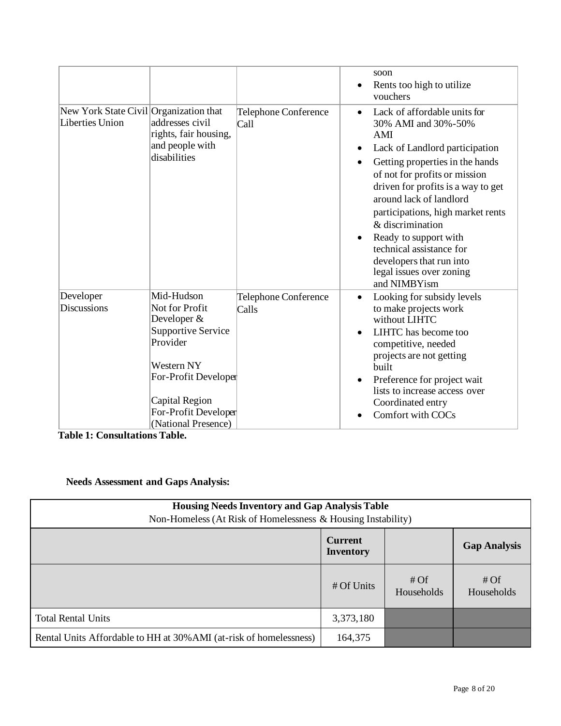|                                                           |                                                                                                                                                                                             |                               | soon<br>Rents too high to utilize<br>vouchers                                                                                                                                                                                                                                                                                                                                                                                        |
|-----------------------------------------------------------|---------------------------------------------------------------------------------------------------------------------------------------------------------------------------------------------|-------------------------------|--------------------------------------------------------------------------------------------------------------------------------------------------------------------------------------------------------------------------------------------------------------------------------------------------------------------------------------------------------------------------------------------------------------------------------------|
| New York State Civil Organization that<br>Liberties Union | addresses civil<br>rights, fair housing,<br>and people with<br>disabilities                                                                                                                 | Telephone Conference<br>Call  | Lack of affordable units for<br>30% AMI and 30%-50%<br>AMI<br>Lack of Landlord participation<br>Getting properties in the hands<br>of not for profits or mission<br>driven for profits is a way to get<br>around lack of landlord<br>participations, high market rents<br>& discrimination<br>Ready to support with<br>$\bullet$<br>technical assistance for<br>developers that run into<br>legal issues over zoning<br>and NIMBYism |
| Developer<br><b>Discussions</b>                           | Mid-Hudson<br>Not for Profit<br>Developer &<br><b>Supportive Service</b><br>Provider<br>Western NY<br>For-Profit Developer<br>Capital Region<br>For-Profit Developer<br>(National Presence) | Telephone Conference<br>Calls | Looking for subsidy levels<br>$\bullet$<br>to make projects work<br>without LIHTC<br>LIHTC has become too<br>competitive, needed<br>projects are not getting<br>built<br>Preference for project wait<br>lists to increase access over<br>Coordinated entry<br>Comfort with COCs                                                                                                                                                      |

**Table 1: Consultations Table.**

## **Needs Assessment and Gaps Analysis:**

| <b>Housing Needs Inventory and Gap Analysis Table</b><br>Non-Homeless (At Risk of Homelessness & Housing Instability) |                                    |                      |                     |  |  |
|-----------------------------------------------------------------------------------------------------------------------|------------------------------------|----------------------|---------------------|--|--|
|                                                                                                                       | <b>Current</b><br><b>Inventory</b> |                      | <b>Gap Analysis</b> |  |  |
|                                                                                                                       | # Of Units                         | # $Of$<br>Households | # Of<br>Households  |  |  |
| <b>Total Rental Units</b>                                                                                             | 3,373,180                          |                      |                     |  |  |
| Rental Units Affordable to HH at 30% AMI (at-risk of homelessness)                                                    | 164,375                            |                      |                     |  |  |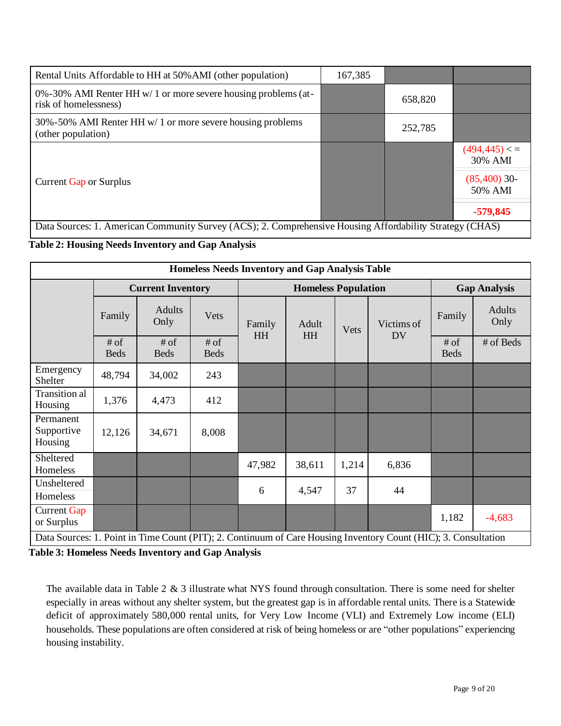| Rental Units Affordable to HH at 50% AMI (other population)                                              | 167,385 |         |                           |  |  |  |
|----------------------------------------------------------------------------------------------------------|---------|---------|---------------------------|--|--|--|
| 0%-30% AMI Renter HH $w/1$ or more severe housing problems (at-<br>risk of homelessness)                 |         | 658,820 |                           |  |  |  |
| 30%-50% AMI Renter HH w/ 1 or more severe housing problems<br>(other population)                         |         | 252,785 |                           |  |  |  |
|                                                                                                          |         |         | (494, 445) < 1<br>30% AMI |  |  |  |
| Current Gap or Surplus                                                                                   |         |         | $(85,400)$ 30-<br>50% AMI |  |  |  |
|                                                                                                          |         |         | $-579,845$                |  |  |  |
| Data Sources: 1. American Community Survey (ACS); 2. Comprehensive Housing Affordability Strategy (CHAS) |         |         |                           |  |  |  |

### **Table 2: Housing Needs Inventory and Gap Analysis**

| <b>Homeless Needs Inventory and Gap Analysis Table</b> |                          |                       |                            |           |               |                         |                                                                                                                 |                       |           |
|--------------------------------------------------------|--------------------------|-----------------------|----------------------------|-----------|---------------|-------------------------|-----------------------------------------------------------------------------------------------------------------|-----------------------|-----------|
|                                                        | <b>Current Inventory</b> |                       | <b>Homeless Population</b> |           |               |                         | <b>Gap Analysis</b>                                                                                             |                       |           |
|                                                        | Family                   | Adults<br>Only        | Vets                       | Family    | Adult<br>Vets | Victims of<br><b>DV</b> | Family                                                                                                          | Adults<br>Only        |           |
|                                                        | $#$ of<br><b>Beds</b>    | $#$ of<br><b>Beds</b> | $#$ of<br><b>Beds</b>      | <b>HH</b> | <b>HH</b>     |                         |                                                                                                                 | $#$ of<br><b>Beds</b> | # of Beds |
| Emergency<br>Shelter                                   | 48,794                   | 34,002                | 243                        |           |               |                         |                                                                                                                 |                       |           |
| Transition al<br>Housing                               | 1,376                    | 4,473                 | 412                        |           |               |                         |                                                                                                                 |                       |           |
| Permanent<br>Supportive<br>Housing                     | 12,126                   | 34,671                | 8,008                      |           |               |                         |                                                                                                                 |                       |           |
| Sheltered<br>Homeless                                  |                          |                       |                            | 47,982    | 38,611        | 1,214                   | 6,836                                                                                                           |                       |           |
| Unsheltered<br>Homeless                                |                          |                       |                            | 6         | 4,547         | 37                      | 44                                                                                                              |                       |           |
| <b>Current Gap</b><br>or Surplus                       |                          |                       |                            |           |               |                         |                                                                                                                 | 1,182                 | $-4,683$  |
|                                                        |                          |                       |                            |           |               |                         | Data Sources: 1. Point in Time Count (PIT); 2. Continuum of Care Housing Inventory Count (HIC); 3. Consultation |                       |           |

**Table 3: Homeless Needs Inventory and Gap Analysis**

The available data in Table 2 & 3 illustrate what NYS found through consultation. There is some need for shelter especially in areas without any shelter system, but the greatest gap is in affordable rental units. There is a Statewide deficit of approximately 580,000 rental units, for Very Low Income (VLI) and Extremely Low income (ELI) households. These populations are often considered at risk of being homeless or are "other populations" experiencing housing instability.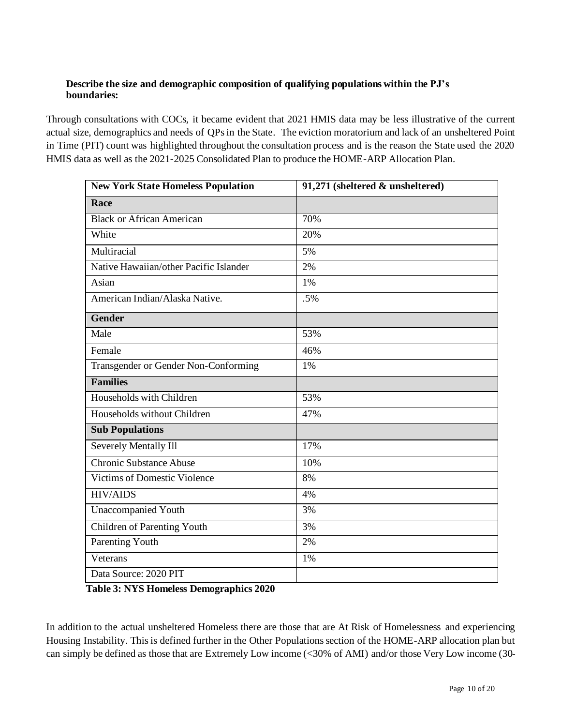#### **Describe the size and demographic composition of qualifying populations within the PJ's boundaries:**

Through consultations with COCs, it became evident that 2021 HMIS data may be less illustrative of the current actual size, demographics and needs of QPs in the State. The eviction moratorium and lack of an unsheltered Point in Time (PIT) count was highlighted throughout the consultation process and is the reason the State used the 2020 HMIS data as well as the 2021-2025 Consolidated Plan to produce the HOME-ARP Allocation Plan.

| <b>New York State Homeless Population</b> | 91,271 (sheltered & unsheltered) |
|-------------------------------------------|----------------------------------|
| Race                                      |                                  |
| <b>Black or African American</b>          | 70%                              |
| White                                     | 20%                              |
| Multiracial                               | 5%                               |
| Native Hawaiian/other Pacific Islander    | 2%                               |
| Asian                                     | 1%                               |
| American Indian/Alaska Native.            | .5%                              |
| <b>Gender</b>                             |                                  |
| Male                                      | 53%                              |
| Female                                    | 46%                              |
| Transgender or Gender Non-Conforming      | 1%                               |
| <b>Families</b>                           |                                  |
| Households with Children                  | 53%                              |
| Households without Children               | 47%                              |
| <b>Sub Populations</b>                    |                                  |
| Severely Mentally Ill                     | 17%                              |
| <b>Chronic Substance Abuse</b>            | 10%                              |
| <b>Victims of Domestic Violence</b>       | 8%                               |
| <b>HIV/AIDS</b>                           | 4%                               |
| <b>Unaccompanied Youth</b>                | 3%                               |
| Children of Parenting Youth               | 3%                               |
| <b>Parenting Youth</b>                    | 2%                               |
| Veterans                                  | 1%                               |
| Data Source: 2020 PIT                     |                                  |

**Table 3: NYS Homeless Demographics 2020**

In addition to the actual unsheltered Homeless there are those that are At Risk of Homelessness and experiencing Housing Instability. This is defined further in the Other Populations section of the HOME-ARP allocation plan but can simply be defined as those that are Extremely Low income (<30% of AMI) and/or those Very Low income (30-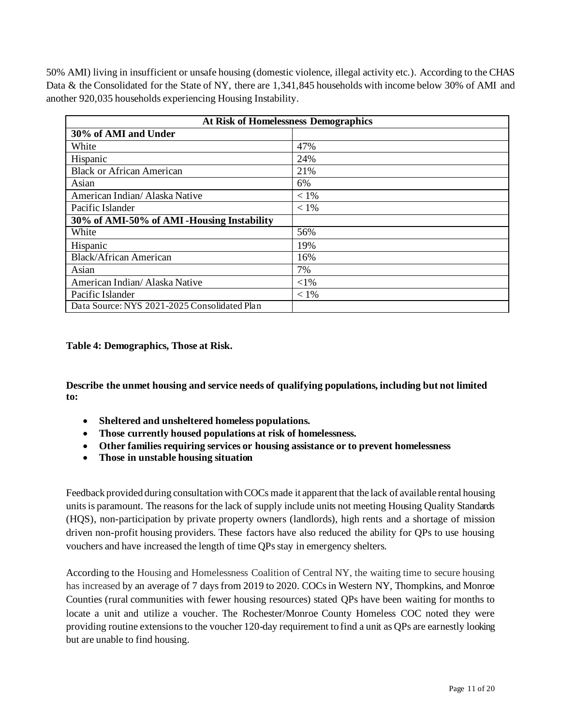50% AMI) living in insufficient or unsafe housing (domestic violence, illegal activity etc.). According to the CHAS Data & the Consolidated for the State of NY, there are 1,341,845 households with income below 30% of AMI and another 920,035 households experiencing Housing Instability.

| <b>At Risk of Homelessness Demographics</b>  |         |  |  |  |  |
|----------------------------------------------|---------|--|--|--|--|
| 30% of AMI and Under                         |         |  |  |  |  |
| White                                        | 47%     |  |  |  |  |
| Hispanic                                     | 24%     |  |  |  |  |
| <b>Black or African American</b>             | 21%     |  |  |  |  |
| Asian                                        | 6%      |  |  |  |  |
| American Indian/ Alaska Native               | $< 1\%$ |  |  |  |  |
| Pacific Islander                             | $< 1\%$ |  |  |  |  |
| 30% of AMI-50% of AMI-Housing Instability    |         |  |  |  |  |
| White                                        | 56%     |  |  |  |  |
| Hispanic                                     | 19%     |  |  |  |  |
| <b>Black/African American</b>                | 16%     |  |  |  |  |
| Asian                                        | 7%      |  |  |  |  |
| American Indian/ Alaska Native               | $<$ 1%  |  |  |  |  |
| Pacific Islander                             | $< 1\%$ |  |  |  |  |
| Data Source: NYS 2021-2025 Consolidated Plan |         |  |  |  |  |

**Table 4: Demographics, Those at Risk.**

**Describe the unmet housing and service needs of qualifying populations, including but not limited to:**

- **Sheltered and unsheltered homeless populations.**
- **Those currently housed populations at risk of homelessness.**
- **Other families requiring services or housing assistance or to prevent homelessness**
- **Those in unstable housing situation**

Feedback provided during consultation with COCs made it apparent that the lack of available rental housing units is paramount. The reasons for the lack of supply include units not meeting Housing Quality Standards (HQS), non-participation by private property owners (landlords), high rents and a shortage of mission driven non-profit housing providers. These factors have also reduced the ability for QPs to use housing vouchers and have increased the length of time QPs stay in emergency shelters.

According to the Housing and Homelessness Coalition of Central NY, the waiting time to secure housing has increased by an average of 7 days from 2019 to 2020. COCs in Western NY, Thompkins, and Monroe Counties (rural communities with fewer housing resources) stated QPs have been waiting for months to locate a unit and utilize a voucher. The Rochester/Monroe County Homeless COC noted they were providing routine extensions to the voucher 120-day requirement to find a unit as QPs are earnestly looking but are unable to find housing.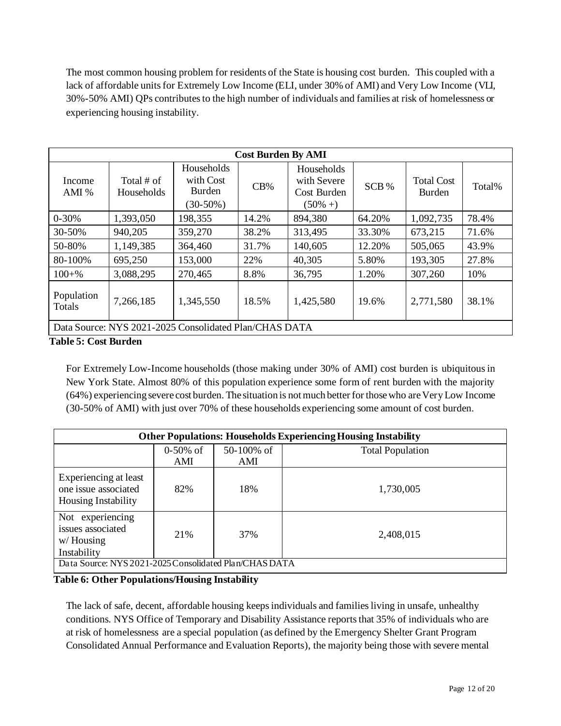The most common housing problem for residents of the State is housing cost burden. This coupled with a lack of affordable units for Extremely Low Income (ELI, under 30% of AMI) and Very Low Income (VLI, 30%-50% AMI) QPs contributes to the high number of individuals and families at risk of homelessness or experiencing housing instability.

|                      | <b>Cost Burden By AMI</b>                              |                                                  |       |                                                         |        |                             |        |  |
|----------------------|--------------------------------------------------------|--------------------------------------------------|-------|---------------------------------------------------------|--------|-----------------------------|--------|--|
| Income<br>AMI $%$    | Total $#$ of<br>Households                             | Households<br>with Cost<br>Burden<br>$(30-50\%)$ | CB%   | Households<br>with Severe<br>Cost Burden<br>$(50\% + )$ | SCB %  | <b>Total Cost</b><br>Burden | Total% |  |
| $0 - 30%$            | 1,393,050                                              | 198,355                                          | 14.2% | 894,380                                                 | 64.20% | 1,092,735                   | 78.4%  |  |
| 30-50%               | 940,205                                                | 359,270                                          | 38.2% | 313,495                                                 | 33.30% | 673,215                     | 71.6%  |  |
| 50-80%               | 1,149,385                                              | 364,460                                          | 31.7% | 140,605                                                 | 12.20% | 505,065                     | 43.9%  |  |
| 80-100%              | 695,250                                                | 153,000                                          | 22%   | 40,305                                                  | 5.80%  | 193,305                     | 27.8%  |  |
| $100 + %$            | 3,088,295                                              | 270,465                                          | 8.8%  | 36,795                                                  | 1.20%  | 307,260                     | 10%    |  |
| Population<br>Totals | 7,266,185                                              | 1,345,550                                        | 18.5% | 1,425,580                                               | 19.6%  | 2,771,580                   | 38.1%  |  |
|                      | Data Source: NYS 2021-2025 Consolidated Plan/CHAS DATA |                                                  |       |                                                         |        |                             |        |  |

#### **Table 5: Cost Burden**

For Extremely Low-Income households (those making under 30% of AMI) cost burden is ubiquitousin New York State. Almost 80% of this population experience some form of rent burden with the majority (64%) experiencing severe cost burden. The situation is not much better for those who are VeryLow Income (30-50% of AMI) with just over 70% of these households experiencing some amount of cost burden.

| <b>Other Populations: Households Experiencing Housing Instability</b>       |                    |                   |                         |  |  |  |
|-----------------------------------------------------------------------------|--------------------|-------------------|-------------------------|--|--|--|
|                                                                             | $0-50\%$ of<br>AMI | 50-100% of<br>AMI | <b>Total Population</b> |  |  |  |
| Experiencing at least<br>one issue associated<br><b>Housing Instability</b> | 82%                | 18%               | 1,730,005               |  |  |  |
| Not experiencing<br>issues associated<br>$w/$ Housing<br>Instability        | 21%                | 37%               | 2,408,015               |  |  |  |
| Data Source: NYS 2021-2025 Consolidated Plan/CHAS DATA                      |                    |                   |                         |  |  |  |

**Table 6: Other Populations/Housing Instability**

The lack of safe, decent, affordable housing keeps individuals and families living in unsafe, unhealthy conditions. NYS Office of Temporary and Disability Assistance reports that 35% of individuals who are at risk of homelessness are a special population (as defined by the Emergency Shelter Grant Program Consolidated Annual Performance and Evaluation Reports), the majority being those with severe mental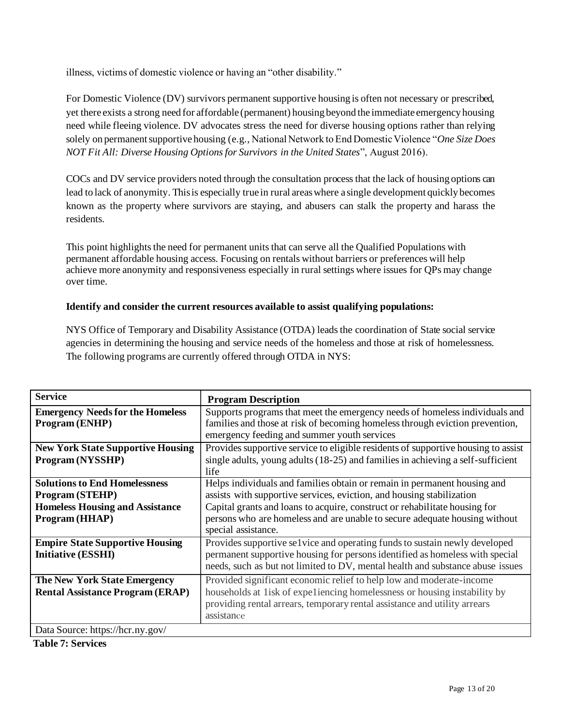illness, victims of domestic violence or having an "other disability."

For Domestic Violence (DV) survivors permanent supportive housing is often not necessary or prescribed, yet there exists a strong need for affordable (permanent) housing beyond the immediate emergency housing need while fleeing violence. DV advocates stress the need for diverse housing options rather than relying solely on permanent supportive housing (e.g., National Network to End Domestic Violence "*One Size Does NOT Fit All: Diverse Housing Options for Survivors in the United States*", August 2016).

COCs and DV service providers noted through the consultation process that the lack of housing options can lead to lack of anonymity. This is especially true in rural areas where a single development quickly becomes known as the property where survivors are staying, and abusers can stalk the property and harass the residents.

This point highlights the need for permanent units that can serve all the Qualified Populations with permanent affordable housing access. Focusing on rentals without barriers or preferences will help achieve more anonymity and responsiveness especially in rural settings where issues for QPs may change over time.

#### **Identify and consider the current resources available to assist qualifying populations:**

NYS Office of Temporary and Disability Assistance (OTDA) leads the coordination of State social service agencies in determining the housing and service needs of the homeless and those at risk of homelessness. The following programs are currently offered through OTDA in NYS:

| <b>Service</b>                                                                                                             | <b>Program Description</b>                                                                                                                                                                                                                                                                                                           |
|----------------------------------------------------------------------------------------------------------------------------|--------------------------------------------------------------------------------------------------------------------------------------------------------------------------------------------------------------------------------------------------------------------------------------------------------------------------------------|
| <b>Emergency Needs for the Homeless</b><br><b>Program</b> (ENHP)                                                           | Supports programs that meet the emergency needs of homeless individuals and<br>families and those at risk of becoming homeless through eviction prevention,<br>emergency feeding and summer youth services                                                                                                                           |
| <b>New York State Supportive Housing</b><br><b>Program (NYSSHP)</b>                                                        | Provides supportive service to eligible residents of supportive housing to assist<br>single adults, young adults (18-25) and families in achieving a self-sufficient<br>life                                                                                                                                                         |
| <b>Solutions to End Homelessness</b><br><b>Program (STEHP)</b><br><b>Homeless Housing and Assistance</b><br>Program (HHAP) | Helps individuals and families obtain or remain in permanent housing and<br>assists with supportive services, eviction, and housing stabilization<br>Capital grants and loans to acquire, construct or rehabilitate housing for<br>persons who are homeless and are unable to secure adequate housing without<br>special assistance. |
| <b>Empire State Supportive Housing</b><br><b>Initiative (ESSHI)</b>                                                        | Provides supportive selvice and operating funds to sustain newly developed<br>permanent supportive housing for persons identified as homeless with special<br>needs, such as but not limited to DV, mental health and substance abuse issues                                                                                         |
| <b>The New York State Emergency</b><br><b>Rental Assistance Program (ERAP)</b><br>Data Source: https://hcr.ny.gov/         | Provided significant economic relief to help low and moderate-income<br>households at 1isk of expeliencing homelessness or housing instability by<br>providing rental arrears, temporary rental assistance and utility arrears<br>assistance                                                                                         |

**Table 7: Services**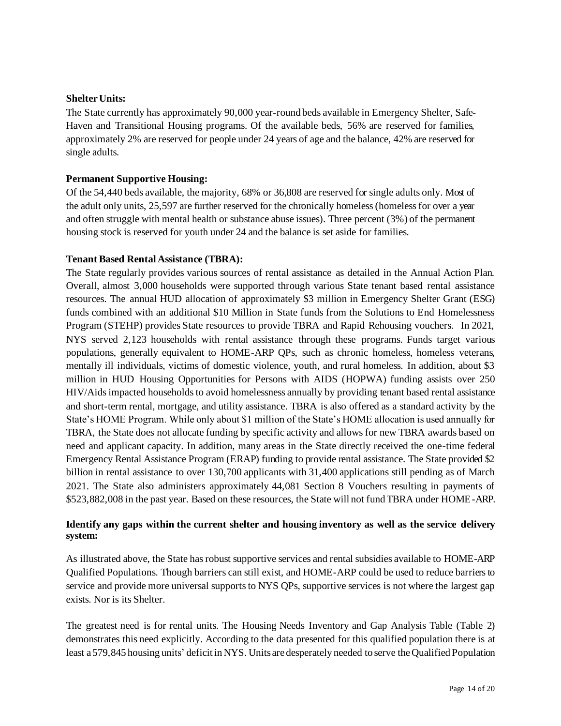#### **ShelterUnits:**

The State currently has approximately 90,000 year-round beds available in Emergency Shelter, Safe-Haven and Transitional Housing programs. Of the available beds, 56% are reserved for families, approximately 2% are reserved for people under 24 years of age and the balance, 42% are reserved for single adults.

#### **Permanent Supportive Housing:**

Of the 54,440 beds available, the majority, 68% or 36,808 are reserved for single adults only. Most of the adult only units, 25,597 are further reserved for the chronically homeless (homeless for over a year and often struggle with mental health or substance abuse issues). Three percent (3%) of the permanent housing stock is reserved for youth under 24 and the balance is set aside for families.

#### **Tenant Based Rental Assistance (TBRA):**

The State regularly provides various sources of rental assistance as detailed in the Annual Action Plan. Overall, almost 3,000 households were supported through various State tenant based rental assistance resources. The annual HUD allocation of approximately \$3 million in Emergency Shelter Grant (ESG) funds combined with an additional \$10 Million in State funds from the Solutions to End Homelessness Program (STEHP) provides State resources to provide TBRA and Rapid Rehousing vouchers. In 2021, NYS served 2,123 households with rental assistance through these programs. Funds target various populations, generally equivalent to HOME-ARP QPs, such as chronic homeless, homeless veterans, mentally ill individuals, victims of domestic violence, youth, and rural homeless. In addition, about \$3 million in HUD Housing Opportunities for Persons with AIDS (HOPWA) funding assists over 250 HIV/Aids impacted households to avoid homelessness annually by providing tenant based rental assistance and short-term rental, mortgage, and utility assistance. TBRA is also offered as a standard activity by the State's HOME Program. While only about \$1 million of the State's HOME allocation is used annually for TBRA, the State does not allocate funding by specific activity and allows for new TBRA awards based on need and applicant capacity. In addition, many areas in the State directly received the one-time federal Emergency Rental Assistance Program (ERAP) funding to provide rental assistance. The State provided \$2 billion in rental assistance to over 130,700 applicants with 31,400 applications still pending as of March 2021. The State also administers approximately 44,081 Section 8 Vouchers resulting in payments of \$523,882,008 in the past year. Based on these resources, the State will not fund TBRA under HOME-ARP.

#### **Identify any gaps within the current shelter and housing inventory as well as the service delivery system:**

As illustrated above, the State has robust supportive services and rental subsidies available to HOME-ARP Qualified Populations. Though barriers can still exist, and HOME-ARP could be used to reduce barriers to service and provide more universal supports to NYS QPs, supportive services is not where the largest gap exists. Nor is its Shelter.

The greatest need is for rental units. The Housing Needs Inventory and Gap Analysis Table (Table 2) demonstrates this need explicitly. According to the data presented for this qualified population there is at least a 579,845 housing units' deficit in NYS. Units are desperately needed to serve theQualified Population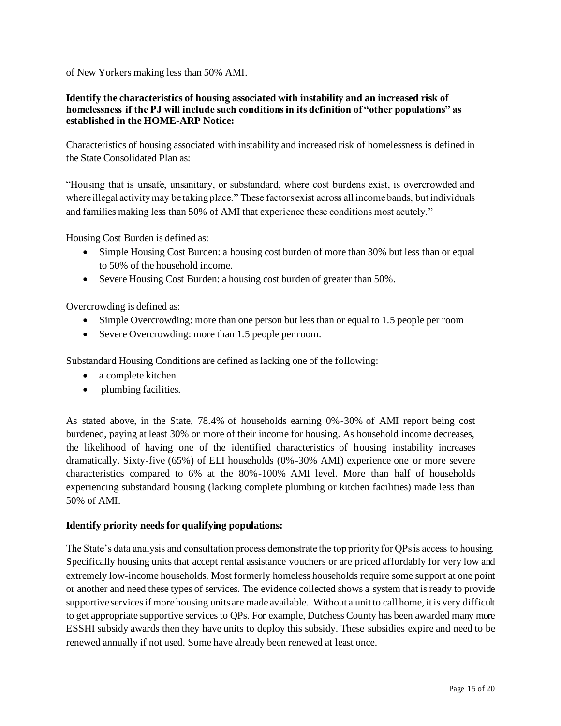of New Yorkers making less than 50% AMI.

#### **Identify the characteristics of housing associated with instability and an increased risk of homelessness if the PJ will include such conditions in its definition of "other populations" as established in the HOME-ARP Notice:**

Characteristics of housing associated with instability and increased risk of homelessness is defined in the State Consolidated Plan as:

"Housing that is unsafe, unsanitary, or substandard, where cost burdens exist, is overcrowded and where illegal activity may be taking place." These factors exist across all income bands, but individuals and families making less than 50% of AMI that experience these conditions most acutely."

Housing Cost Burden is defined as:

- Simple Housing Cost Burden: a housing cost burden of more than 30% but less than or equal to 50% of the household income.
- Severe Housing Cost Burden: a housing cost burden of greater than 50%.

Overcrowding is defined as:

- Simple Overcrowding: more than one person but less than or equal to 1.5 people per room
- Severe Overcrowding: more than 1.5 people per room.

Substandard Housing Conditions are defined as lacking one of the following:

- a complete kitchen
- plumbing facilities.

As stated above, in the State, 78.4% of households earning 0%-30% of AMI report being cost burdened, paying at least 30% or more of their income for housing. As household income decreases, the likelihood of having one of the identified characteristics of housing instability increases dramatically. Sixty-five (65%) of ELI households (0%-30% AMI) experience one or more severe characteristics compared to 6% at the 80%-100% AMI level. More than half of households experiencing substandard housing (lacking complete plumbing or kitchen facilities) made less than 50% of AMI.

#### **Identify priority needsfor qualifying populations:**

The State's data analysis and consultation process demonstrate the top priority for QPs is access to housing. Specifically housing units that accept rental assistance vouchers or are priced affordably for very low and extremely low-income households. Most formerly homeless households require some support at one point or another and need these types of services. The evidence collected shows a system that is ready to provide supportive services if more housing units are made available. Without a unit to call home, it is very difficult to get appropriate supportive services to QPs. For example, Dutchess County has been awarded many more ESSHI subsidy awards then they have units to deploy this subsidy. These subsidies expire and need to be renewed annually if not used. Some have already been renewed at least once.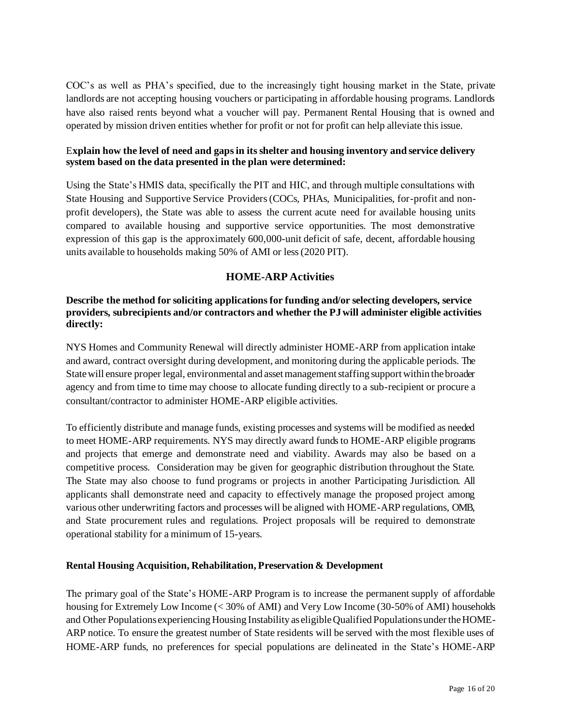COC's as well as PHA's specified, due to the increasingly tight housing market in the State, private landlords are not accepting housing vouchers or participating in affordable housing programs. Landlords have also raised rents beyond what a voucher will pay. Permanent Rental Housing that is owned and operated by mission driven entities whether for profit or not for profit can help alleviate this issue.

#### E**xplain how the level of need and gaps in its shelter and housing inventory and service delivery system based on the data presented in the plan were determined:**

Using the State's HMIS data, specifically the PIT and HIC, and through multiple consultations with State Housing and Supportive Service Providers (COCs, PHAs, Municipalities, for-profit and nonprofit developers), the State was able to assess the current acute need for available housing units compared to available housing and supportive service opportunities. The most demonstrative expression of this gap is the approximately 600,000-unit deficit of safe, decent, affordable housing units available to households making 50% of AMI or less (2020 PIT).

### **HOME-ARP Activities**

#### **Describe the method for soliciting applications for funding and/or selecting developers, service providers, subrecipients and/or contractors and whether the PJwill administer eligible activities directly:**

NYS Homes and Community Renewal will directly administer HOME-ARP from application intake and award, contract oversight during development, and monitoring during the applicable periods. The State will ensure proper legal, environmental and asset management staffing support within the broader agency and from time to time may choose to allocate funding directly to a sub-recipient or procure a consultant/contractor to administer HOME-ARP eligible activities.

To efficiently distribute and manage funds, existing processes and systems will be modified as needed to meet HOME-ARP requirements. NYS may directly award funds to HOME-ARP eligible programs and projects that emerge and demonstrate need and viability. Awards may also be based on a competitive process. Consideration may be given for geographic distribution throughout the State. The State may also choose to fund programs or projects in another Participating Jurisdiction. All applicants shall demonstrate need and capacity to effectively manage the proposed project among various other underwriting factors and processes will be aligned with HOME-ARP regulations, OMB, and State procurement rules and regulations. Project proposals will be required to demonstrate operational stability for a minimum of 15-years.

#### **Rental Housing Acquisition, Rehabilitation, Preservation & Development**

The primary goal of the State's HOME-ARP Program is to increase the permanent supply of affordable housing for Extremely Low Income (< 30% of AMI) and Very Low Income (30-50% of AMI) households and Other Populations experiencing Housing Instability as eligible Qualified Populations under the HOME-ARP notice. To ensure the greatest number of State residents will be served with the most flexible uses of HOME-ARP funds, no preferences for special populations are delineated in the State's HOME-ARP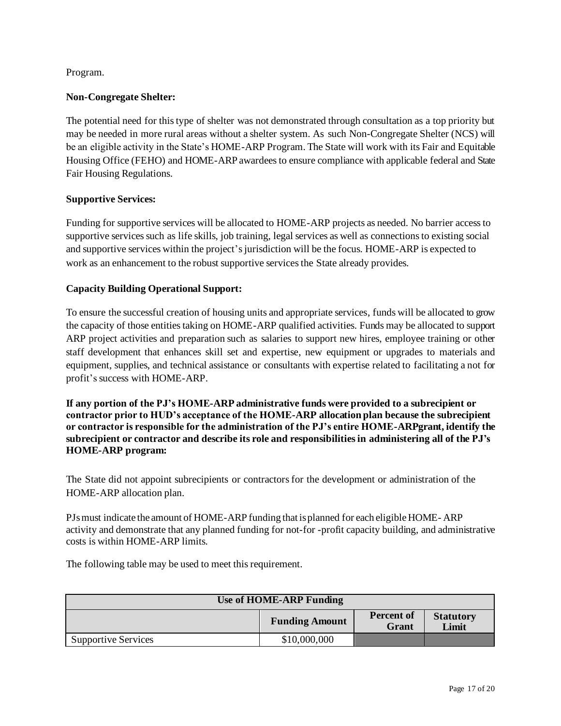#### Program.

#### **Non-Congregate Shelter:**

The potential need for this type of shelter was not demonstrated through consultation as a top priority but may be needed in more rural areas without a shelter system. As such Non-Congregate Shelter (NCS) will be an eligible activity in the State's HOME-ARP Program. The State will work with its Fair and Equitable Housing Office (FEHO) and HOME-ARP awardees to ensure compliance with applicable federal and State Fair Housing Regulations.

#### **Supportive Services:**

Funding for supportive services will be allocated to HOME-ARP projects as needed. No barrier access to supportive services such as life skills, job training, legal services as well as connections to existing social and supportive services within the project's jurisdiction will be the focus. HOME-ARP is expected to work as an enhancement to the robust supportive services the State already provides.

#### **Capacity Building Operational Support:**

To ensure the successful creation of housing units and appropriate services, funds will be allocated to grow the capacity of those entities taking on HOME-ARP qualified activities. Funds may be allocated to support ARP project activities and preparation such as salaries to support new hires, employee training or other staff development that enhances skill set and expertise, new equipment or upgrades to materials and equipment, supplies, and technical assistance or consultants with expertise related to facilitating a not for profit's success with HOME-ARP.

**If any portion of the PJ's HOME-ARP administrative funds were provided to a subrecipient or contractor prior to HUD's acceptance of the HOME-ARP allocation plan because the subrecipient or contractor is responsible for the administration of the PJ's entire HOME-ARPgrant, identify the subrecipient or contractor and describe its role and responsibilities in administering all of the PJ's HOME-ARP program:** 

The State did not appoint subrecipients or contractorsfor the development or administration of the HOME-ARP allocation plan.

PJsmust indicate the amount of HOME-ARP funding that isplanned for each eligibleHOME- ARP activity and demonstrate that any planned funding for not-for -profit capacity building, and administrative costs is within HOME-ARP limits.

The following table may be used to meet this requirement.

| <b>Use of HOME-ARP Funding</b> |                       |                            |                           |  |
|--------------------------------|-----------------------|----------------------------|---------------------------|--|
|                                | <b>Funding Amount</b> | <b>Percent of</b><br>Grant | <b>Statutory</b><br>Limit |  |
| <b>Supportive Services</b>     | \$10,000,000          |                            |                           |  |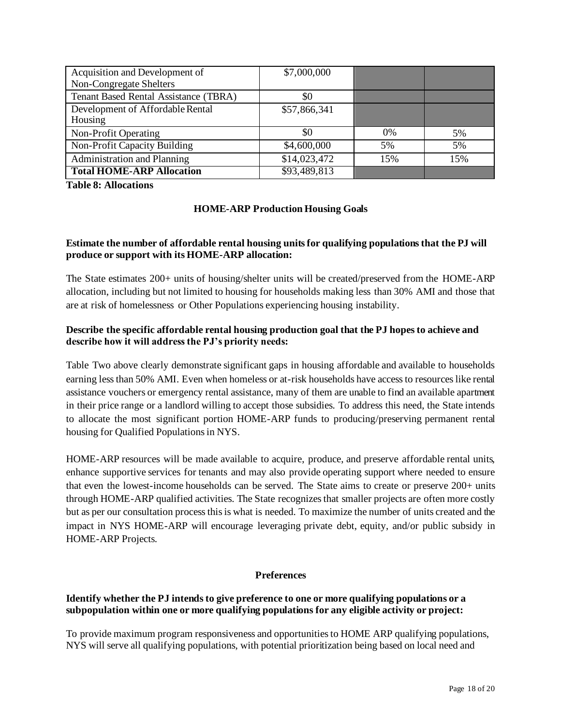| Acquisition and Development of        | \$7,000,000  |       |     |
|---------------------------------------|--------------|-------|-----|
| Non-Congregate Shelters               |              |       |     |
| Tenant Based Rental Assistance (TBRA) | \$0          |       |     |
| Development of Affordable Rental      | \$57,866,341 |       |     |
| Housing                               |              |       |     |
| Non-Profit Operating                  | \$0          | $0\%$ | 5%  |
| Non-Profit Capacity Building          | \$4,600,000  | 5%    | 5%  |
| Administration and Planning           | \$14,023,472 | 15%   | 15% |
| <b>Total HOME-ARP Allocation</b>      | \$93,489,813 |       |     |

**Table 8: Allocations**

#### **HOME-ARP Production Housing Goals**

#### **Estimate the number of affordable rental housing units for qualifying populations that the PJ will produce or support with its HOME-ARP allocation:**

The State estimates 200+ units of housing/shelter units will be created/preserved from the HOME-ARP allocation, including but not limited to housing for households making less than 30% AMI and those that are at risk of homelessness or Other Populations experiencing housing instability.

#### **Describe the specific affordable rental housing production goal that the PJ hopes to achieve and describe how it will address the PJ's priority needs:**

Table Two above clearly demonstrate significant gaps in housing affordable and available to households earning less than 50% AMI. Even when homeless or at-risk households have access to resources like rental assistance vouchers or emergency rental assistance, many of them are unable to find an available apartment in their price range or a landlord willing to accept those subsidies. To address this need, the State intends to allocate the most significant portion HOME-ARP funds to producing/preserving permanent rental housing for Qualified Populations in NYS.

HOME-ARP resources will be made available to acquire, produce, and preserve affordable rental units, enhance supportive services for tenants and may also provide operating support where needed to ensure that even the lowest-income households can be served. The State aims to create or preserve 200+ units through HOME-ARP qualified activities. The State recognizes that smaller projects are often more costly but as per our consultation process this is what is needed. To maximize the number of units created and the impact in NYS HOME-ARP will encourage leveraging private debt, equity, and/or public subsidy in HOME-ARP Projects.

#### **Preferences**

#### **Identify whether the PJ intendsto give preference to one or more qualifying populations or a subpopulation within one or more qualifying populations for any eligible activity or project:**

To provide maximum program responsiveness and opportunities to HOME ARP qualifying populations, NYS will serve all qualifying populations, with potential prioritization being based on local need and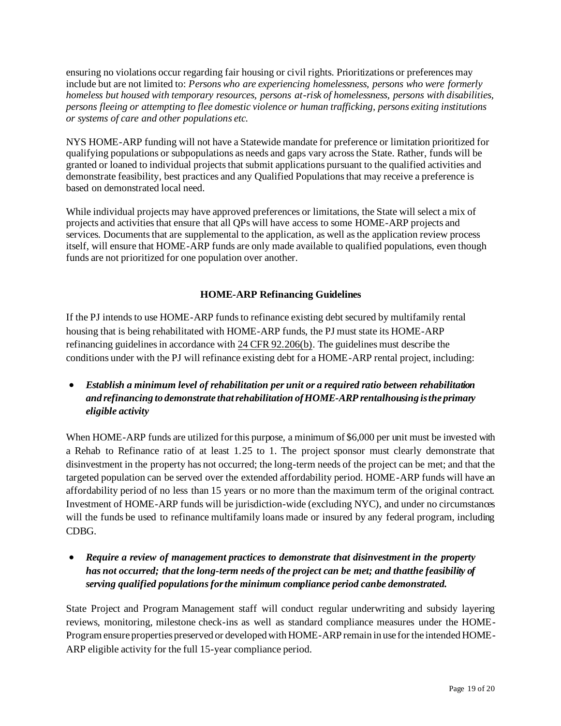ensuring no violations occur regarding fair housing or civil rights. Prioritizations or preferences may include but are not limited to: *Persons who are experiencing homelessness, persons who were formerly homeless but housed with temporary resources, persons at-risk of homelessness, persons with disabilities, persons fleeing or attempting to flee domestic violence or human trafficking, persons exiting institutions or systems of care and other populations etc.*

NYS HOME-ARP funding will not have a Statewide mandate for preference or limitation prioritized for qualifying populations or subpopulations as needs and gaps vary across the State. Rather, funds will be granted or loaned to individual projects that submit applications pursuant to the qualified activities and demonstrate feasibility, best practices and any Qualified Populations that may receive a preference is based on demonstrated local need.

While individual projects may have approved preferences or limitations, the State will select a mix of projects and activities that ensure that all QPs will have access to some HOME-ARP projects and services. Documents that are supplemental to the application, as well as the application review process itself, will ensure that HOME-ARP funds are only made available to qualified populations, even though funds are not prioritized for one population over another.

#### **HOME-ARP Refinancing Guidelines**

If the PJ intends to use HOME-ARP funds to refinance existing debt secured by multifamily rental housing that is being rehabilitated with HOME-ARP funds, the PJ must state its HOME-ARP refinancing guidelines in accordance wit[h 24 CFR 92.206\(b\)](https://www.ecfr.gov/cgi-bin/text-idx?SID=273620a3dcadf1c5e247ef949a4fd87c&mc=true&node=se24.1.92_1206&rgn=div8). The guidelines must describe the conditions under with the PJ will refinance existing debt for a HOME-ARP rental project, including:

• *Establish a minimum level of rehabilitation per unit or a required ratio between rehabilitation and refinancing to demonstrate thatrehabilitation ofHOME-ARP rentalhousing is the primary eligible activity*

When HOME-ARP funds are utilized for this purpose, a minimum of \$6,000 per unit must be invested with a Rehab to Refinance ratio of at least 1.25 to 1. The project sponsor must clearly demonstrate that disinvestment in the property has not occurred; the long-term needs of the project can be met; and that the targeted population can be served over the extended affordability period. HOME-ARP funds will have an affordability period of no less than 15 years or no more than the maximum term of the original contract. Investment of HOME-ARP funds will be jurisdiction-wide (excluding NYC), and under no circumstances will the funds be used to refinance multifamily loans made or insured by any federal program, including CDBG.

• *Require a review of management practices to demonstrate that disinvestment in the property has not occurred; that the long-term needs of the project can be met; and thatthe feasibility of serving qualified populationsforthe minimum compliance period canbe demonstrated.*

State Project and Program Management staff will conduct regular underwriting and subsidy layering reviews, monitoring, milestone check-ins as well as standard compliance measures under the HOME-Program ensure properties preserved or developed with HOME-ARP remain in use for the intended HOME-ARP eligible activity for the full 15-year compliance period.